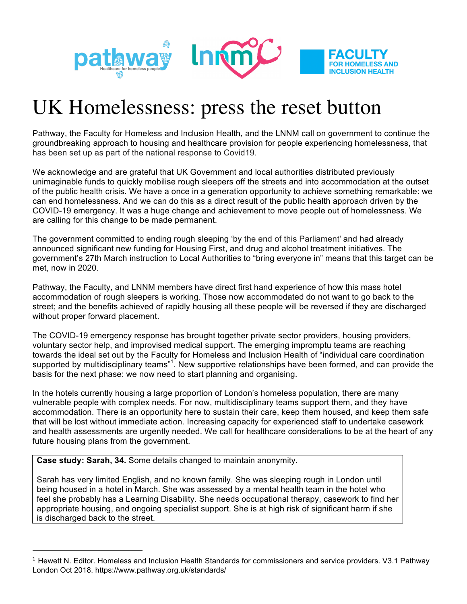

## UK Homelessness: press the reset button

Pathway, the Faculty for Homeless and Inclusion Health, and the LNNM call on government to continue the groundbreaking approach to housing and healthcare provision for people experiencing homelessness, that has been set up as part of the national response to Covid19.

We acknowledge and are grateful that UK Government and local authorities distributed previously unimaginable funds to quickly mobilise rough sleepers off the streets and into accommodation at the outset of the public health crisis. We have a once in a generation opportunity to achieve something remarkable: we can end homelessness. And we can do this as a direct result of the public health approach driven by the COVID-19 emergency. It was a huge change and achievement to move people out of homelessness. We are calling for this change to be made permanent.

The government committed to ending rough sleeping 'by the end of this Parliament' and had already announced significant new funding for Housing First, and drug and alcohol treatment initiatives. The government's 27th March instruction to Local Authorities to "bring everyone in" means that this target can be met, now in 2020.

Pathway, the Faculty, and LNNM members have direct first hand experience of how this mass hotel accommodation of rough sleepers is working. Those now accommodated do not want to go back to the street; and the benefits achieved of rapidly housing all these people will be reversed if they are discharged without proper forward placement.

The COVID-19 emergency response has brought together private sector providers, housing providers, voluntary sector help, and improvised medical support. The emerging impromptu teams are reaching towards the ideal set out by the Faculty for Homeless and Inclusion Health of "individual care coordination supported by multidisciplinary teams"<sup>1</sup>. New supportive relationships have been formed, and can provide the basis for the next phase: we now need to start planning and organising.

In the hotels currently housing a large proportion of London's homeless population, there are many vulnerable people with complex needs. For now, multidisciplinary teams support them, and they have accommodation. There is an opportunity here to sustain their care, keep them housed, and keep them safe that will be lost without immediate action. Increasing capacity for experienced staff to undertake casework and health assessments are urgently needed. We call for healthcare considerations to be at the heart of any future housing plans from the government.

**Case study: Sarah, 34.** Some details changed to maintain anonymity.

 

Sarah has very limited English, and no known family. She was sleeping rough in London until being housed in a hotel in March. She was assessed by a mental health team in the hotel who feel she probably has a Learning Disability. She needs occupational therapy, casework to find her appropriate housing, and ongoing specialist support. She is at high risk of significant harm if she is discharged back to the street.

 $1$  Hewett N. Editor. Homeless and Inclusion Health Standards for commissioners and service providers. V3.1 Pathway London Oct 2018. https://www.pathway.org.uk/standards/